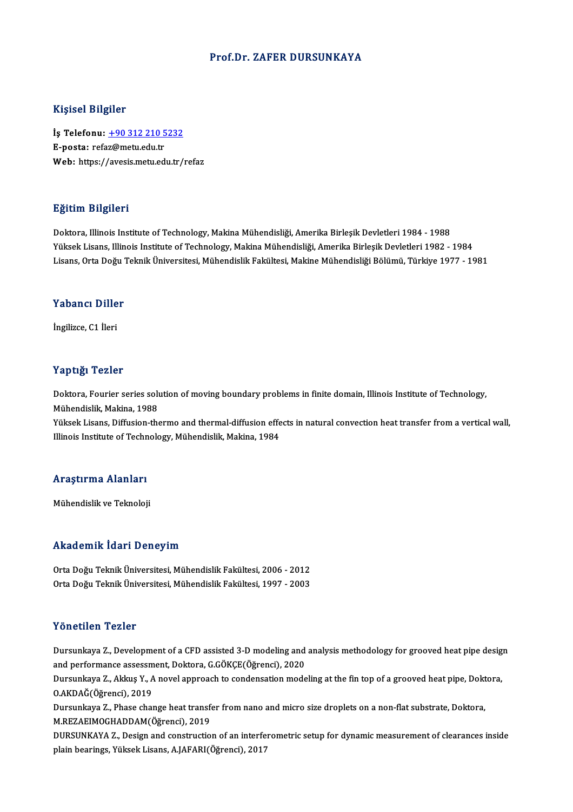### Prof.Dr. ZAFER DURSUNKAYA

### Kişisel Bilgiler

Kişisel Bilgiler<br>İş Telefonu: <u>+90 312 210 5232</u><br>E nosta: refaz@metu.edu.tr 11191001 Dugnot<br>İş Telefonu: <u>+90 312 210 5</u><br>E-posta: refa[z@metu.edu.tr](tel:+90 312 210 5232) E-posta: refaz@metu.edu.tr<br>Web: https://avesis.metu.edu.tr/refaz

### Eğitim Bilgileri

Doktora, Illinois Institute of Technology, Makina Mühendisliği, Amerika Birleşik Devletleri 1984 - 1988 Yüksek Lisans, Illinois Institute of Technology, Makina Mühendisliği, Amerika Birleşik Devletleri 1982 - 1984 Lisans, Orta Doğu Teknik Üniversitesi, Mühendislik Fakültesi, Makine Mühendisliği Bölümü, Türkiye 1977 - 1981

#### Yabancı Diller

İngilizce,C1 İleri

### Yaptığı Tezler

Yaptığı Tezler<br>Doktora, Fourier series solution of moving boundary problems in finite domain, Illinois Institute of Technology,<br>Mühandislik Makina 1999 Mühendislik, Makina, 1988<br>Mühendislik, Makina, 1988<br>Vülgek Lisens, Diffusion, the Doktora, Fourier series solution of moving boundary problems in finite domain, Illinois Institute of Technology,<br>Mühendislik, Makina, 1988<br>Yüksek Lisans, Diffusion-thermo and thermal-diffusion effects in natural convection

Mühendislik, Makina, 1988<br>Yüksek Lisans, Diffusion-thermo and thermal-diffusion effects in natural convection heat transfer from a vertical wall,<br>Illinois Institute of Technology, Mühendislik, Makina, 1984

## nimois insulute or recnn<br>Araştırma Alanları <mark>Araştırma Alanları</mark><br>Mühendislik ve Teknoloji

## Mühendislik ve Teknoloji<br>Akademik İdari Deneyim

Akademik İdari Deneyim<br>Orta Doğu Teknik Üniversitesi, Mühendislik Fakültesi, 2006 - 2012<br>Orta Doğu Teknik Üniversitesi, Mühendislik Fakültesi, 1997 - 2003 OrtaDoğuTeknikÜniversitesi,MühendislikFakültesi,1997 -2003 Orta Doğu Teknik Üniversitesi, Mühendislik Fakültesi, 1997 - 2003<br>Yönetilen Tezler

Yönetilen Tezler<br>Dursunkaya Z., Development of a CFD assisted 3-D modeling and analysis methodology for grooved heat pipe design<br>and performange assessment, Deltere, C.CÖYCE(Öğrensi), 2020 and performance assessment of a CFD assisted 3-D modeling and<br>and performance assessment, Doktora, G.GÖKÇE(Öğrenci), 2020<br>Dursunkaya Z. Akkus V. A noval annrasab ta sandansation mode Dursunkaya Z., Development of a CFD assisted 3-D modeling and analysis methodology for grooved heat pipe desig<br>and performance assessment, Doktora, G.GÖKÇE(Öğrenci), 2020<br>Dursunkaya Z., Akkuş Y., A novel approach to conden

and performance assessment, Doktora, G.GÖKÇE(Öğrenci), 2020<br>Dursunkaya Z., Akkuş Y., A novel approach to condensation modeling at the fin top of a grooved heat pipe, Doktora,<br>O.AKDAĞ(Öğrenci), 2019 Dursunkaya Z., Akkuş Y., A novel approach to condensation modeling at the fin top of a grooved heat pipe, Dokt<br>O.AKDAĞ(Öğrenci), 2019<br>Dursunkaya Z., Phase change heat transfer from nano and micro size droplets on a non-fla

O.AKDAĞ(Öğrenci), 2019<br>Dursunkaya Z., Phase change heat transfe<br>M.REZAEIMOGHADDAM(Öğrenci), 2019<br>DURSUNKAYA Z., Desirn and sonstrustio Dursunkaya Z., Phase change heat transfer from nano and micro size droplets on a non-flat substrate, Doktora,<br>M.REZAEIMOGHADDAM(Öğrenci), 2019<br>DURSUNKAYA Z., Design and construction of an interferometric setup for dynamic

M.REZAEIMOGHADDAM(Öğrenci), 2019<br>DURSUNKAYA Z., Design and construction of an interferometric setup for dynamic measurement of clearances inside<br>plain bearings, Yüksek Lisans, A.JAFARI(Öğrenci), 2017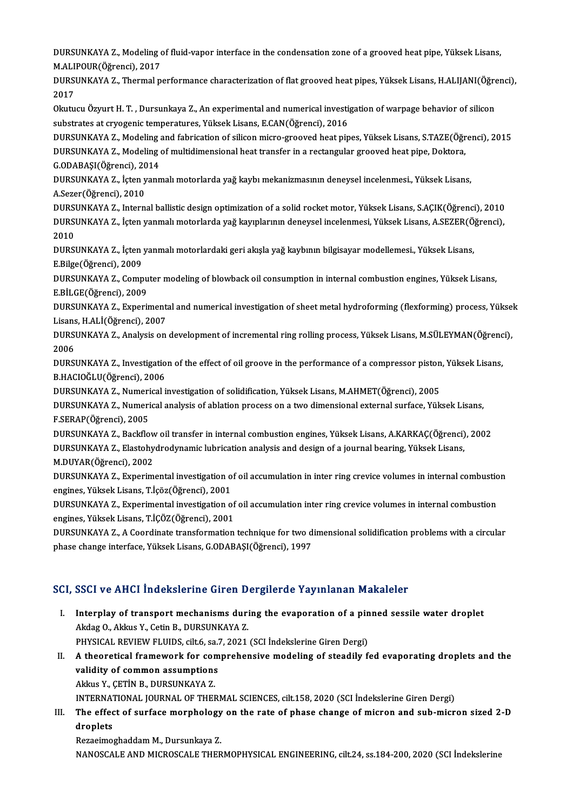DURSUNKAYA Z., Modeling of fluid-vapor interface in the condensation zone of a grooved heat pipe, Yüksek Lisans,<br>M ALIPOUP(Öğrengi), 2017 DURSUNKAYA Z., Modeling<br>M.ALIPOUR(Öğrenci), 2017<br>DUBSUNKAYA Z., Thermal n DURSUNKAYA Z., Modeling of fluid-vapor interface in the condensation zone of a grooved heat pipe, Yüksek Lisans,<br>M.ALIPOUR(Öğrenci), 2017<br>DURSUNKAYA Z., Thermal performance characterization of flat grooved heat pipes, Yüks

M.ALI<br>DURS<br>2017<br>Olarh DURSUNKAYA Z., Thermal performance characterization of flat grooved heat pipes, Yüksek Lisans, H.ALIJANI(Öğre<br>2017<br>Okutucu Özyurt H. T. , Dursunkaya Z., An experimental and numerical investigation of warpage behavior of si

2017<br>Okutucu Özyurt H. T. , Dursunkaya Z., An experimental and numerical investigation of warpage behavior of silicon<br>substrates at cryogenic temperatures, Yüksek Lisans, E.CAN(Öğrenci), 2016 Okutucu Özyurt H. T. , Dursunkaya Z., An experimental and numerical investigation of warpage behavior of silicon<br>substrates at cryogenic temperatures, Yüksek Lisans, E.CAN(Öğrenci), 2016<br>DURSUNKAYA Z., Modeling of multidim

substrates at cryogenic temperatures, Yüksek Lisans, E.CAN(Öğrenci), 2016<br>DURSUNKAYA Z., Modeling and fabrication of silicon micro-grooved heat pipes, Yüksek Lisans, S.TAZE(Öğr<br>DURSUNKAYA Z., Modeling of multidimensional h DURSUNKAYA Z., Modeling<br>DURSUNKAYA Z., Modeling<br>G.ODABAŞI(Öğrenci), 2014<br>DUBSUNKAYA Z., İstan yann DURSUNKAYA Z., Modeling of multidimensional heat transfer in a rectangular grooved heat pipe, Doktora,<br>G.ODABAŞI(Öğrenci), 2014<br>DURSUNKAYA Z., İçten yanmalı motorlarda yağ kaybı mekanizmasının deneysel incelenmesi., Yüksek

G.ODABAŞI(Öğrenci), 20<br>DURSUNKAYA Z., İçten y<br>A.Sezer(Öğrenci), 2010<br>DUBSUNKAYA Z. Intern DURSUNKAYA Z., İçten yanmalı motorlarda yağ kaybı mekanizmasının deneysel incelenmesi., Yüksek Lisans,<br>A.Sezer(Öğrenci), 2010<br>DURSUNKAYA Z., Internal ballistic design optimization of a solid rocket motor, Yüksek Lisans, S.

A.Sezer(Öğrenci), 2010<br>DURSUNKAYA Z., Internal ballistic design optimization of a solid rocket motor, Yüksek Lisans, S.AÇIK(Öğrenci),<br>DURSUNKAYA Z., İçten yanmalı motorlarda yağ kayıplarının deneysel incelenmesi, Yüksek Li DURS<br>DURS<br>2010<br>DURSI DURSUNKAYA Z., İçten yanmalı motorlarda yağ kayıplarının deneysel incelenmesi, Yüksek Lisans, A.SEZER(Ö.<br>2010<br>DURSUNKAYA Z., İçten yanmalı motorlardaki geri akışla yağ kaybının bilgisayar modellemesi., Yüksek Lisans,<br>E.Pil

2010<br>DURSUNKAYA Z., İçten yanmalı motorlardaki geri akışla yağ kaybının bilgisayar modellemesi., Yüksek Lisans,<br>E.Bilge(Öğrenci), 2009 DURSUNKAYA Z., İçten yanmalı motorlardaki geri akışla yağ kaybının bilgisayar modellemesi., Yüksek Lisans,<br>E.Bilge(Öğrenci), 2009<br>DURSUNKAYA Z., Computer modeling of blowback oil consumption in internal combustion engines,

E.Bilge(Öğrenci), 2009<br>DURSUNKAYA Z., Compu<br>E.BİLGE(Öğrenci), 2009<br>DURSUNKAYA Z., Expori DURSUNKAYA Z., Computer modeling of blowback oil consumption in internal combustion engines, Yüksek Lisans,<br>E.BİLGE(Öğrenci), 2009<br>DURSUNKAYA Z., Experimental and numerical investigation of sheet metal hydroforming (flexfo

E.BİLGE(Öğrenci), 2009<br>DURSUNKAYA Z., Experiment<br>Lisans, H.ALİ(Öğrenci), 2007<br>DUBSUNKAYA Z. Anakraja on DURSUNKAYA Z., Experimental and numerical investigation of sheet metal hydroforming (flexforming) process, Yükse<br>Lisans, H.ALİ(Öğrenci), 2007<br>DURSUNKAYA Z., Analysis on development of incremental ring rolling process, Yüks

Lisans, H.ALİ(Öğrenci), 2007<br>DURSUNKAYA Z., Analysis on development of incremental ring rolling process, Yüksek Lisans, M.SÜLEYMAN(Öğrenci),<br>2006 DURSUNKAYA Z., Analysis on development of incremental ring rolling process, Yüksek Lisans, M.SÜLEYMAN(Öğrenc<br>2006<br>DURSUNKAYA Z., Investigation of the effect of oil groove in the performance of a compressor piston, Yüksek L

2006<br>DURSUNKAYA Z., Investigatio<br>B.HACIOĞLU(Öğrenci), 2006<br>DURSUNKAYA Z. Numorical i DURSUNKAYA Z., Investigation of the effect of oil groove in the performance of a compressor piston<br>B.HACIOĞLU(Öğrenci), 2006<br>DURSUNKAYA Z., Numerical investigation of solidification, Yüksek Lisans, M.AHMET(Öğrenci), 2005<br>D

DURSUNKAYA Z., Numerical investigation of solidification, Yüksek Lisans, M.AHMET(Öğrenci), 2005

B.HACIOĞLU(Öğrenci), 2006<br>DURSUNKAYA Z., Numerical investigation of solidification, Yüksek Lisans, M.AHMET(Öğrenci), 2005<br>DURSUNKAYA Z., Numerical analysis of ablation process on a two dimensional external surface, Yüksek

DURSUNKAYAZ.,Backflowoil transfer ininternal combustionengines,YüksekLisans,A.KARKAÇ(Öğrenci),2002 F.SERAP(Öğrenci), 2005<br>DURSUNKAYA Z., Backflow oil transfer in internal combustion engines, Yüksek Lisans, A.KARKAÇ(Öğrenci)<br>DURSUNKAYA Z., Elastohydrodynamic lubrication analysis and design of a journal bearing, Yüksek Li DURSUNKAYA Z., Backflow<br>DURSUNKAYA Z., Elastohy<br>M.DUYAR(Öğrenci), 2002<br>DUBSUNKAYA Z., Evnerim

M.DUYAR(Öğrenci), 2002<br>DURSUNKAYA Z., Experimental investigation of oil accumulation in inter ring crevice volumes in internal combustion engines,YüksekLisans,T.İçöz(Öğrenci),2001 DURSUNKAYA Z., Experimental investigation of oil accumulation in inter ring crevice volumes in internal combustio<br>engines, Yüksek Lisans, T.İçöz(Öğrenci), 2001<br>DURSUNKAYA Z., Experimental investigation of oil accumulation

engines, Yüksek Lisans, T.İçöz(Öğrenci), 2001<br>DURSUNKAYA Z., Experimental investigation of<br>engines, Yüksek Lisans, T.İÇÖZ(Öğrenci), 2001<br>DURSUNKAYA Z. A Coordinate transformation DURSUNKAYA Z., Experimental investigation of oil accumulation inter ring crevice volumes in internal combustion<br>engines, Yüksek Lisans, T.İÇÖZ(Öğrenci), 2001<br>DURSUNKAYA Z., A Coordinate transformation technique for two dim

engines, Yüksek Lisans, T.İÇÖZ(Öğrenci), 2001<br>DURSUNKAYA Z., A Coordinate transformation technique for two dimensional solidification problems with a circular<br>phase change interface, Yüksek Lisans, G.ODABAŞI(Öğrenci), 1997

### SCI, SSCI ve AHCI İndekslerine Giren Dergilerde Yayınlanan Makaleler

- CI, SSCI ve AHCI İndekslerine Giren Dergilerde Yayınlanan Makaleler<br>I. Interplay of transport mechanisms during the evaporation of a pinned sessile water droplet<br>Akdas O. Aklay V. Cetin B. DURSUNKAYA 7 MAKDAG TELEVISION IN CHINA<br>Akdag O., Akkus Y., Cetin B., DURSUNKAYA Z.<br>PHYSICAL PEVIEW ELUIDS cilt 6, 09.7, 2021 Interplay of transport mechanisms during the evaporation of a pin<br>Akdag O., Akkus Y., Cetin B., DURSUNKAYA Z.<br>PHYSICAL REVIEW FLUIDS, cilt.6, sa.7, 2021 (SCI İndekslerine Giren Dergi)<br>A theoratical framework for comprehens Akdag O., Akkus Y., Cetin B., DURSUNKAYA Z.<br>PHYSICAL REVIEW FLUIDS, cilt.6, sa.7, 2021 (SCI Indekslerine Giren Dergi)<br>II. A theoretical framework for comprehensive modeling of steadily fed evaporating droplets and the<br>vali
- PHYSICAL REVIEW FLUIDS, cilt.6, sa.<br>A theoretical framework for com<br>validity of common assumptions<br>Althus Y. CETIN B. DUBSUNKAYA Z A theoretical framework for cor<br>validity of common assumptions<br>Akkus Y., ÇETİN B., DURSUNKAYA Z.<br>INTERNATIONAL JOURNAL OF THEI validity of common assumptions<br>Akkus Y., ÇETİN B., DURSUNKAYA Z.<br>INTERNATIONAL JOURNAL OF THERMAL SCIENCES, cilt.158, 2020 (SCI İndekslerine Giren Dergi) Akkus Y., ÇETİN B., DURSUNKAYA Z.<br>INTERNATIONAL JOURNAL OF THERMAL SCIENCES, cilt.158, 2020 (SCI İndekslerine Giren Dergi)<br>III. The effect of surface morphology on the rate of phase change of micron and sub-micron sized

INTERNAT<br>The effec<br>droplets<br>Beresimes The effect of surface morphology<br>droplets<br>Rezaeimoghaddam M., Dursunkaya Z.<br>NANOSCALE AND MICROSCALE TUER

droplets<br>Rezaeimoghaddam M., Dursunkaya Z.<br>NANOSCALE AND MICROSCALE THERMOPHYSICAL ENGINEERING, cilt.24, ss.184-200, 2020 (SCI İndekslerine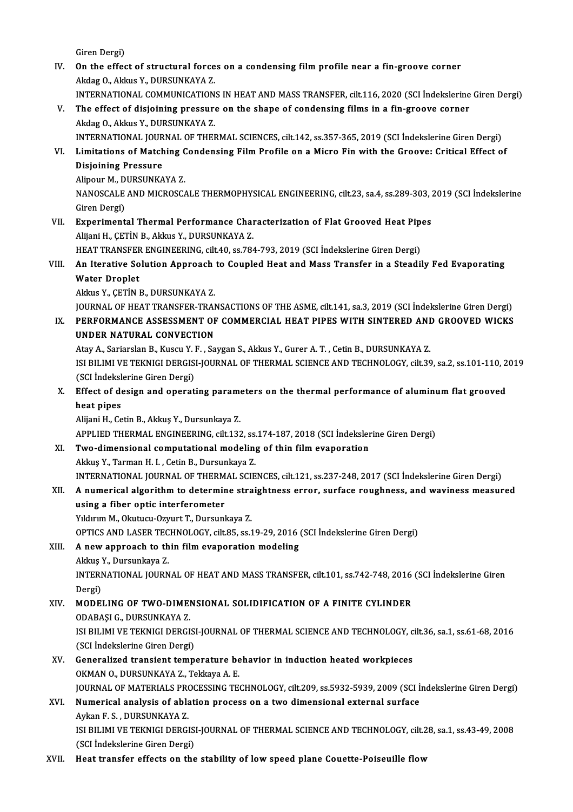- Giren Dergi) Giren Dergi)<br>IV. On the effect of structural forces on a condensing film profile near a fin-groove corner<br>Algha O. Algha Y. DURSUNKAVA 7 Giren Dergi)<br>**On the effect of structural force**<br>Akdag O., Akkus Y., DURSUNKAYA Z.<br>INTERNATIONAL COMMUNICATION On the effect of structural forces on a condensing film profile near a fin-groove corner<br>Akdag O., Akkus Y., DURSUNKAYA Z.<br>INTERNATIONAL COMMUNICATIONS IN HEAT AND MASS TRANSFER, cilt.116, 2020 (SCI İndekslerine Giren Derg Akdag O., Akkus Y., DURSUNKAYA Z.<br>INTERNATIONAL COMMUNICATIONS IN HEAT AND MASS TRANSFER, cilt.116, 2020 (SCI İndekslerine<br>V. The effect of disjoining pressure on the shape of condensing films in a fin-groove corner<br>Akd INTERNATIONAL COMMUNICATION<br>The effect of disjoining pressure<br>Akdag O., Akkus Y., DURSUNKAYA Z.<br>INTERNATIONAL JOURNAL OF THEI The effect of disjoining pressure on the shape of condensing films in a fin-groove corner<br>Akdag O., Akkus Y., DURSUNKAYA Z.<br>INTERNATIONAL JOURNAL OF THERMAL SCIENCES, cilt.142, ss.357-365, 2019 (SCI İndekslerine Giren Derg Akdag O., Akkus Y., DURSUNKAYA Z.<br>INTERNATIONAL JOURNAL OF THERMAL SCIENCES, cilt.142, ss.357-365, 2019 (SCI İndekslerine Giren Dergi)<br>VI. Limitations of Matching Condensing Film Profile on a Micro Fin with the Groove: **INTERNATIONAL JOUR<br>Limitations of Match<br>Disjoining Pressure<br>Alinour M. DUBSUNKA** Limitations of Matching (<br>Disjoining Pressure<br>Alipour M., DURSUNKAYA Z.<br>NANOSCALE AND MICPOSC Disjoining Pressure<br>Alipour M., DURSUNKAYA Z.<br>NANOSCALE AND MICROSCALE THERMOPHYSICAL ENGINEERING, cilt.23, sa.4, ss.289-303, 2019 (SCI İndekslerine<br>Giren Dergi) Alipour M., DURSUNKAYA Z. NANOSCALE AND MICROSCALE THERMOPHYSICAL ENGINEERING, cilt.23, sa.4, ss.289-303, <br>Giren Dergi)<br>VII. Experimental Thermal Performance Characterization of Flat Grooved Heat Pipes<br>Alliani H. CETIN B. Aldre V. DUBSUNKAVA 7 Giren Dergi)<br><mark>Experimental Thermal Performance Cha</mark>i<br>Alijani H., ÇETİN B., Akkus Y., DURSUNKAYA Z.<br>HEAT TRANSEER ENCINEERINC. silt 40. ss 78. Experimental Thermal Performance Characterization of Flat Grooved Heat Pip<br>Alijani H., ÇETİN B., Akkus Y., DURSUNKAYA Z.<br>HEAT TRANSFER ENGINEERING, cilt.40, ss.784-793, 2019 (SCI İndekslerine Giren Dergi)<br>An Itanative Solu Alijani H., ÇETİN B., Akkus Y., DURSUNKAYA Z.<br>HEAT TRANSFER ENGINEERING, cilt.40, ss.784-793, 2019 (SCI İndekslerine Giren Dergi)<br>VIII. An Iterative Solution Approach to Coupled Heat and Mass Transfer in a Steadily Fed HEAT TRANSFEF<br>An Iterative So<br>Water Droplet<br>Aldre V. CETIN I An Iterative Solution Approach<br>Water Droplet<br>Akkus Y., ÇETİN B., DURSUNKAYA Z.<br>JOUPMAL OF HEAT TRANSEER TRAI Water Droplet<br>Akkus Y., ÇETİN B., DURSUNKAYA Z.<br>JOURNAL OF HEAT TRANSFER-TRANSACTIONS OF THE ASME, cilt.141, sa.3, 2019 (SCI İndekslerine Giren Dergi)<br>REREORMANCE ASSESSMENT OF COMMERCIAL HEAT RIRES WITH SINTERED AND CROQV Akkus Y., ÇETİN B., DURSUNKAYA Z.<br>JOURNAL OF HEAT TRANSFER-TRANSACTIONS OF THE ASME, cilt.141, sa.3, 2019 (SCI İndekslerine Giren Dergi)<br>IX. PERFORMANCE ASSESSMENT OF COMMERCIAL HEAT PIPES WITH SINTERED AND GROOVED WICKS **JOURNAL OF HEAT TRANSFER-TRAN<br>PERFORMANCE ASSESSMENT OF<br>UNDER NATURAL CONVECTION<br>Atau A. Sarjarelan B. Kuseu V. E. Sa** PERFORMANCE ASSESSMENT OF COMMERCIAL HEAT PIPES WITH SINTERED ANI<br>UNDER NATURAL CONVECTION<br>Atay A., Sariarslan B., Kuscu Y. F. , Saygan S., Akkus Y., Gurer A. T. , Cetin B., DURSUNKAYA Z.<br>ISLEH IMI VE TEKNICI DERCISI JOURN UNDER NATURAL CONVECTION<br>Atay A., Sariarslan B., Kuscu Y. F. , Saygan S., Akkus Y., Gurer A. T. , Cetin B., DURSUNKAYA Z.<br>ISI BILIMI VE TEKNIGI DERGISI-JOURNAL OF THERMAL SCIENCE AND TECHNOLOGY, cilt.39, sa.2, ss.101-110, Atay A., Sariarslan B., Kuscu Y. I<br>ISI BILIMI VE TEKNIGI DERGIS<br>(SCI İndekslerine Giren Dergi)<br>Effect of design and operat ISI BILIMI VE TEKNIGI DERGISI-JOURNAL OF THERMAL SCIENCE AND TECHNOLOGY, cilt.39, sa.2, ss.101-110, 2<br>(SCI İndekslerine Giren Dergi)<br>X. Effect of design and operating parameters on the thermal performance of aluminum flat (SCI İndekslerine Giren Dergi)<br>Effect of design and operating parame<br>heat pipes<br>Alijani H., Cetin B., Akkus Y., Dursunkaya Z. X. Effect of design and operating parameters on the thermal performance of aluminum flat grooved heat pipes<br>Alijani H., Cetin B., Akkuş Y., Dursunkaya Z.<br>APPLIED THERMAL ENGINEERING, cilt.132, ss.174-187, 2018 (SCI İndekslerine Giren Dergi)<br>Ture dimensianal semnutational modeling of thin film evaneration XI. Two-dimensional computational modeling of thin film evaporation<br>Akkuş Y., Tarman H. I., Cetin B., Dursunkaya Z. APPLIED THERMAL ENGINEERING, cilt.132, ss.<br>Two-dimensional computational modeling<br>Akkuş Y., Tarman H. I. , Cetin B., Dursunkaya Z.<br>INTERNATIONAL JOURNAL OF THERMAL SCIE INTERNATIONAL JOURNALOF THERMAL SCIENCES, cilt.121, ss.237-248,2017 (SCI İndekslerineGirenDergi) Akkuş Y., Tarman H. I. , Cetin B., Dursunkaya Z.<br>INTERNATIONAL JOURNAL OF THERMAL SCIENCES, cilt.121, ss.237-248, 2017 (SCI İndekslerine Giren Dergi)<br>XII. A numerical algorithm to determine straightness error, surface INTERNATIONAL JOURNAL OF THERM<br>A numerical algorithm to determine<br>using a fiber optic interferometer<br>Viduum M. Okutugu Oxuut T. Durgunl A numerical algorithm to determine stra<br>using a fiber optic interferometer<br>Yıldırım M., Okutucu-Ozyurt T., Dursunkaya Z.<br>OPTICS AND LASER TECHNOLOCY sit 95-82.1 using a fiber optic interferometer<br>Yıldırım M., Okutucu-Ozyurt T., Dursunkaya Z.<br>OPTICS AND LASER TECHNOLOGY, cilt.85, ss.19-29, 2016 (SCI İndekslerine Giren Dergi)<br>A new annuasab ta thin film avananatian madeling. Yıldırım M., Okutucu-Ozyurt T., Dursunkaya Z.<br>OPTICS AND LASER TECHNOLOGY, cilt.85, ss.19-29, 2016<br>XIII. A new approach to thin film evaporation modeling<br>Akkuş Y., Dursunkaya Z. **OPTICS AND LASER TEC<br>A new approach to th<br>Akkuş Y., Dursunkaya Z.<br>INTERNATIONAL IOURN** A new approach to thin film evaporation modeling<br>Akkuş Y., Dursunkaya Z.<br>INTERNATIONAL JOURNAL OF HEAT AND MASS TRANSFER, cilt.101, ss.742-748, 2016 (SCI İndekslerine Giren<br>Dergi) Akkuş<br>INTERI<br>Dergi)<br>MODEI
- INTERNATIONAL JOURNAL OF HEAT AND MASS TRANSFER, cilt.101, ss.742-748, 2016<br>Dergi)<br>XIV. MODELING OF TWO-DIMENSIONAL SOLIDIFICATION OF A FINITE CYLINDER<br>ODAPASI C. DUBSINKAYA 7 Dergi)<br>XIV. MODELING OF TWO-DIMENSIONAL SOLIDIFICATION OF A FINITE CYLINDER<br>ODABAŞI G., DURSUNKAYA Z.
	- MODELING OF TWO-DIMENSIONAL SOLIDIFICATION OF A FINITE CYLINDER<br>ODABAŞI G., DURSUNKAYA Z.<br>ISI BILIMI VE TEKNIGI DERGISI-JOURNAL OF THERMAL SCIENCE AND TECHNOLOGY, cilt.36, sa.1, ss.61-68, 2016<br>(SCI İndekslerine Ciren Dergi (SCI BASA) (S., DURSUNKAYA Z.<br>151 BILIMI VE TEKNIGI DERGIS<br>(SCI İndekslerine Giren Dergi)<br>Conoralized transiant tamp ISI BILIMI VE TEKNIGI DERGISI-JOURNAL OF THERMAL SCIENCE AND TECHNOLOGY, c<br>(SCI Indekslerine Giren Dergi)<br>XV. Generalized transient temperature behavior in induction heated workpieces<br>(CEMAN O, DUBSUNKAVA Z, Tekkeya A, E
	- (SCI İndekslerine Giren Dergi)<br>Generalized transient temperature be<br>OKMAN O., DURSUNKAYA Z., Tekkaya A. E.<br>JOUPNAL OF MATERIALS PROCESSING TE Generalized transient temperature behavior in induction heated workpieces<br>OKMAN O., DURSUNKAYA Z., Tekkaya A. E.<br>JOURNAL OF MATERIALS PROCESSING TECHNOLOGY, cilt.209, ss.5932-5939, 2009 (SCI İndekslerine Giren Dergi)<br>Numer OKMAN O., DURSUNKAYA Z., Tekkaya A. E.<br>JOURNAL OF MATERIALS PROCESSING TECHNOLOGY, cilt.209, ss.5932-5939, 2009 (SCI I<br>XVI. Numerical analysis of ablation process on a two dimensional external surface<br>Aykan F. S. , DURSUNK
	- **JOURNAL OF MATERIALS PRONUMERT**<br>**Numerical analysis of abla**<br>Aykan F. S. , DURSUNKAYA Z.<br>ISL BU IMLVE TEKNICL DEPCI Numerical analysis of ablation process on a two dimensional external surface<br>Aykan F. S. , DURSUNKAYA Z.<br>ISI BILIMI VE TEKNIGI DERGISI-JOURNAL OF THERMAL SCIENCE AND TECHNOLOGY, cilt.28, sa.1, ss.43-49, 2008<br>(SCI Indeksler Aykan F. S. , DURSUNKAYA Z.<br>ISI BILIMI VE TEKNIGI DERGIS<br>(SCI İndekslerine Giren Dergi)<br>Heat transfar effects en the
	- (SCI Indekslerine Giren Dergi)<br>XVII. Heat transfer effects on the stability of low speed plane Couette-Poiseuille flow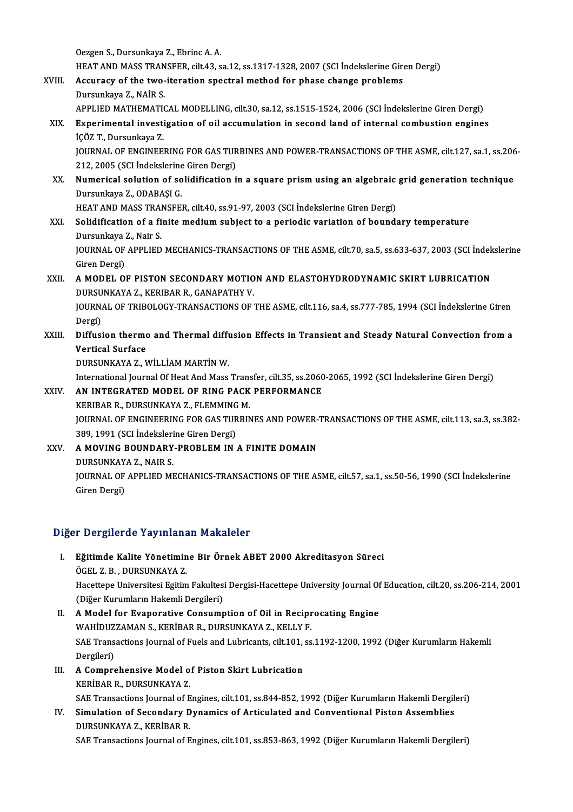OezgenS.,Dursunkaya Z.,EbrincA.A.

HEATANDMASSTRANSFER, cilt.43, sa.12, ss.1317-1328,2007 (SCI İndekslerineGirenDergi)

- XVIII. Accuracy of the two-iteration spectral method for phase change problems Dursunkaya Z., NAİR S.
	- APPLIED MATHEMATICAL MODELLING, cilt.30, sa.12, ss.1515-1524, 2006 (SCI İndekslerine Giren Dergi)
	- XIX. Experimental investigation of oil accumulation in second land of internal combustion engines İÇÖZ T.,Dursunkaya Z. Experimental investigation of oil accumulation in second land of internal combustion engines<br>İÇÖZ T., Dursunkaya Z.<br>JOURNAL OF ENGINEERING FOR GAS TURBINES AND POWER-TRANSACTIONS OF THE ASME, cilt.127, sa.1, ss.206-<br>212, 2

İÇÖZ T., Dursunkaya Z.<br>JOURNAL OF ENGINEERING FOR GAS TUR<br>212, 2005 (SCI İndekslerine Giren Dergi)<br>Numerical selution of selidification i JOURNAL OF ENGINEERING FOR GAS TURBINES AND POWER-TRANSACTIONS OF THE ASME, cilt.127, sa.1, ss.206<br>212, 2005 (SCI Indekslerine Giren Dergi)<br>XX. Numerical solution of solidification in a square prism using an algebraic grid

212, 2005 (SCI İndekslerine<br>Numerical solution of so<br>Dursunkaya Z., ODABAŞI G.<br>HEAT AND MASS TRANSEE Numerical solution of solidification in a square prism using an algebraic<br>Dursunkaya Z., ODABAŞI G.<br>HEAT AND MASS TRANSFER, cilt.40, ss.91-97, 2003 (SCI İndekslerine Giren Dergi)<br>Solidification of a finite medium subject t

Dursunkaya Z., ODABAŞI G.<br>HEAT AND MASS TRANSFER, cilt.40, ss.91-97, 2003 (SCI İndekslerine Giren Dergi)<br>XXI. Solidification of a finite medium subject to a periodic variation of boundary temperature<br>Dursunkaya Z. Najr S. HEAT AND MASS TRAI<br>Solidification of a fi<br>Dursunkaya Z., Nair S.<br>JOUPNAL OF APPLIED Solidification of a finite medium subject to a periodic variation of boundary temperature<br>Dursunkaya Z., Nair S.<br>JOURNAL OF APPLIED MECHANICS-TRANSACTIONS OF THE ASME, cilt.70, sa.5, ss.633-637, 2003 (SCI İndekslerine<br>Ciro Dursunkaya ;<br>JOURNAL OF<br>Giren Dergi)<br>A MODEL OI

JOURNAL OF APPLIED MECHANICS-TRANSACTIONS OF THE ASME, cilt.70, sa.5, ss.633-637, 2003 (SCI Indek<br>Giren Dergi)<br>XXII. A MODEL OF PISTON SECONDARY MOTION AND ELASTOHYDRODYNAMIC SKIRT LUBRICATION

### Giren Dergi)<br>XXII. – A MODEL OF PISTON SECONDARY MOTION AND ELASTOHYDRODYNAMIC SKIRT LUBRICATION<br>DURSUNKAYA Z.. KERIBAR R.. GANAPATHY V. A MODEL OF PISTON SECONDARY MOTION AND ELASTOHYDRODYNAMIC SKIRT LUBRICATION<br>DURSUNKAYA Z., KERIBAR R., GANAPATHY V.<br>JOURNAL OF TRIBOLOGY-TRANSACTIONS OF THE ASME, cilt.116, sa.4, ss.777-785, 1994 (SCI İndekslerine Giren<br>Pa

DURSU<br>JOURN<br>Dergi)<br>Diffusi JOURNAL OF TRIBOLOGY-TRANSACTIONS OF THE ASME, cilt.116, sa.4, ss.777-785, 1994 (SCI İndekslerine Giren<br>Dergi)<br>XXIII. Diffusion thermo and Thermal diffusion Effects in Transient and Steady Natural Convection from a<br>Vertica

### Dergi)<br>Diffusion therme<br>Vertical Surface<br>DURSUNKAVA 7- V Vertical Surface<br>DURSUNKAYA Z., WİLLİAM MARTİN W. Vertical Surface<br>DURSUNKAYA Z., WİLLİAM MARTİN W.<br>International Journal Of Heat And Mass Transfer, cilt.35, ss.2060-2065, 1992 (SCI İndekslerine Giren Dergi)<br>AN INTECRATED MODEL OF RINC RACK REREORMANCE

### XXIV. AN INTEGRATED MODEL OF RING PACK PERFORMANCE International Journal Of Heat And Mass Trans<br>**AN INTEGRATED MODEL OF RING PACK<br>KERIBAR R., DURSUNKAYA Z., FLEMMING M.**<br>JOURNAL OF ENCINEERING FOR GAS TURRIN KERIBAR R., DURSUNKAYA Z., FLEMMING M.

JOURNAL OF ENGINEERING FOR GAS TURBINES AND POWER-TRANSACTIONS OF THE ASME, cilt.113, sa.3, ss.382-<br>389, 1991 (SCI İndekslerine Giren Dergi) JOURNAL OF ENGINEERING FOR GAS TURBINES AND POWER-<br>389, 1991 (SCI Indekslerine Giren Dergi)<br>XXV. A MOVING BOUNDARY-PROBLEM IN A FINITE DOMAIN

389, 1991 (SCI İndeksleri<br>A MOVING BOUNDARY<br>DURSUNKAYA Z., NAIR S.<br>JOUPNAL OF APPLIED MI A MOVING BOUNDARY-PROBLEM IN A FINITE DOMAIN<br>DURSUNKAYA Z., NAIR S.<br>JOURNAL OF APPLIED MECHANICS-TRANSACTIONS OF THE ASME, cilt.57, sa.1, ss.50-56, 1990 (SCI İndekslerine<br>Ciron Dargi) DURSUNKAY.<br>JOURNAL OF<br>Giren Dergi)

## Giren Dergi)<br>Diğer Dergilerde Yayınlanan Makaleler

- Iğer Dergilerde Yayınlanan Makaleler<br>I. Bğitimde Kalite Yönetimine Bir Örnek ABET 2000 Akreditasyon Süreci<br>ÖCEL 7 B. DURSUNKAVA 7 r Dorginorus Tuymmund<br>Eğitimde Kalite Yönetimin<br>ÖGEL Z.B. , DURSUNKAYA Z.<br>Hacettana Universitesi Esitim Eğitimde Kalite Yönetimine Bir Örnek ABET 2000 Akreditasyon Süreci<br>ÖGEL Z. B. , DURSUNKAYA Z.<br>Hacettepe Universitesi Egitim Fakultesi Dergisi-Hacettepe University Journal Of Education, cilt.20, ss.206-214, 2001<br>(Diğer Kuru ÖGEL Z. B. , DURSUNKAYA Z.<br>Hacettepe Universitesi Egitim Fakultesi<br>(Diğer Kurumların Hakemli Dergileri)<br>A Model for Evenorative Consumn Hacettepe Universitesi Egitim Fakultesi Dergisi-Hacettepe University Journal Of<br>
(Diğer Kurumların Hakemli Dergileri)<br>
II. A Model for Evaporative Consumption of Oil in Reciprocating Engine<br>
WAHIDIIZZAMAN S. KERİRAR R. DUR
- (Diğer Kurumların Hakemli Dergileri)<br>II. A Model for Evaporative Consumption of Oil in Reciprocating Engine<br>WAHİDUZZAMAN S., KERİBAR R., DURSUNKAYA Z., KELLY F. A Model for Evaporative Consumption of Oil in Reciprocating Engine<br>WAHİDUZZAMAN S., KERİBAR R., DURSUNKAYA Z., KELLY F.<br>SAE Transactions Journal of Fuels and Lubricants, cilt.101, ss.1192-1200, 1992 (Diğer Kurumların Hakem WAHIDUZ<br>SAE Trans<br>Dergileri)<br>A Compre SAE Transactions Journal of Fuels and Lubricants, cilt.101,<br>Dergileri)<br>III. A Comprehensive Model of Piston Skirt Lubrication<br>ERPIRARE DUBSINEAVA 7
- Dergileri)<br>A Comprehensive Model o<br>KERİBAR R., DURSUNKAYA Z.<br>SAE Transestions Journal of E A Comprehensive Model of Piston Skirt Lubrication<br>KERİBAR R., DURSUNKAYA Z.<br>SAE Transactions Journal of Engines, cilt.101, ss.844-852, 1992 (Diğer Kurumların Hakemli Dergileri)<br>Simulation of Sesandary Dynamise of Articulat
- KERİBAR R., DURSUNKAYA Z.<br>SAE Transactions Journal of Engines, cilt.101, ss.844-852, 1992 (Diğer Kurumların Hakemli Dergil<br>IV. Simulation of Secondary Dynamics of Articulated and Conventional Piston Assemblies<br>DURSUNKAYA Z SAE Transactions Journal of E<br>Simulation of Secondary D<br>DURSUNKAYA Z., KERİBAR R.<br>SAE Transactions Journal of E

SAE Transactions Journal of Engines, cilt.101, ss.853-863, 1992 (Diğer Kurumların Hakemli Dergileri)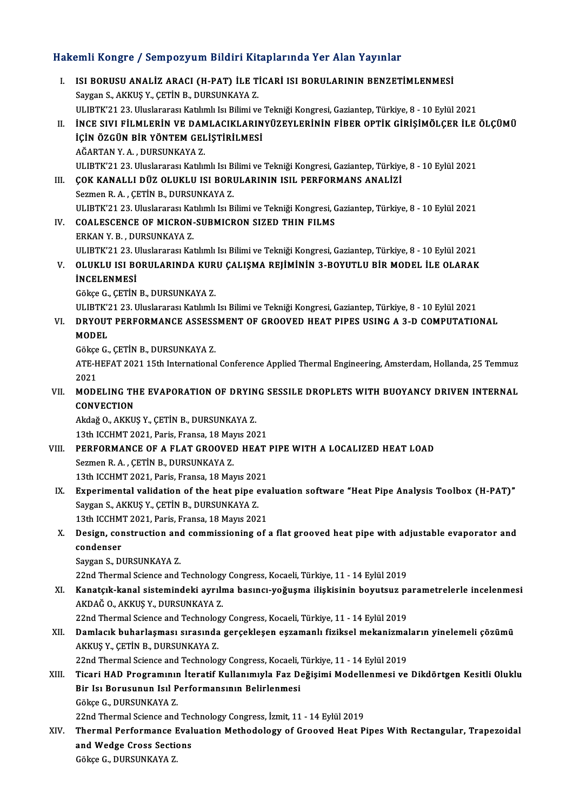# Hakemli Kongre / Sempozyum Bildiri Kitaplarında Yer Alan Yayınlar<br>Hakemli Kongre / Sempozyum Bildiri Kitaplarında Yer Alan Yayınlar

akemli Kongre / Sempozyum Bildiri Kitaplarında Yer Alan Yayınlar<br>I. ISI BORUSU ANALİZ ARACI (H-PAT) İLE TİCARİ ISI BORULARININ BENZETİMLENMESİ<br>Saygan S. AKKUS V. CETİN B. DURSUNKAYA Z I. ISI BORUSU ANALIZ ARACI (H-PAT) ILE TICARI ISI BORULARININ BENZETIMLENMESI<br>Saygan S., AKKUŞ Y., ÇETİN B., DURSUNKAYA Z. ISI BORUSU ANALİZ ARACI (H-PAT) İLE TİCARİ ISI BORULARININ BENZETİMLENMESİ<br>Saygan S., AKKUŞ Y., ÇETİN B., DURSUNKAYA Z.<br>ULIBTK'21 23. Uluslararası Katılımlı Isı Bilimi ve Tekniği Kongresi, Gaziantep, Türkiye, 8 - 10 Eylül Saygan S., AKKUŞ Y., ÇETİN B., DURSUNKAYA Z.<br>ULIBTK'21 23. Uluslararası Katılımlı Isı Bilimi ve Tekniği Kongresi, Gaziantep, Türkiye, 8 - 10 Eylül 2021<br>II. İNCE SIVI FİLMLERİN VE DAMLACIKLARINYÜZEYLERİNİN FİBER OPTİK G ULIBTK'21 23. Uluslararası Katılımlı Isı Bilimi ve<br>İNCE SIVI FİLMLERİN VE DAMLACIKLARIN<br>İÇİN ÖZGÜN BİR YÖNTEM GELİŞTİRİLMESİ<br>AĞAPTAN VA DUPSUNKAYA 7 İNCE SIVI FİLMLERİN VE DAM<br>İÇİN ÖZGÜN BİR YÖNTEM GEL<br>AĞARTAN Y. A. , DURSUNKAYA Z.<br>III IPTY'21.22. Unglararaz Katlu İÇİN ÖZGÜN BİR YÖNTEM GELİŞTİRİLMESİ<br>AĞARTAN Y. A. , DURSUNKAYA Z.<br>ULIBTK'21 23. Uluslararası Katılımlı Isı Bilimi ve Tekniği Kongresi, Gaziantep, Türkiye, 8 - 10 Eylül 2021<br>COK KANALLI DÜZ OLUKLU ISL BORULARININ ISU, RERE AĞARTAN Y. A. , DURSUNKAYA Z.<br>ULIBTK'21 23. Uluslararası Katılımlı Isı Bilimi ve Tekniği Kongresi, Gaziantep, Türkiye<br>III. COK KANALLI DÜZ OLUKLU ISI BORULARININ ISIL PERFORMANS ANALİZİ ULIBTK'21 23. Uluslararası Katılımlı Isı B.<br>ÇOK KANALLI DÜZ OLUKLU ISI BORI<br>Sezmen R. A. , ÇETİN B., DURSUNKAYA Z.<br>III IPTK'21 22. Uluslararası Katılımlı Isı B. UI. ÇOK KANALLI DÜZ OLUKLU ISI BORULARININ ISIL PERFORMANS ANALIZI<br>Sezmen R. A. , ÇETİN B., DURSUNKAYA Z.<br>ULIBTK'21 23. Uluslararası Katılımlı Isı Bilimi ve Tekniği Kongresi, Gaziantep, Türkiye, 8 - 10 Eylül 2021 Sezmen R. A. , ÇETİN B., DURSUNKAYA Z.<br>ULIBTK'21 23. Uluslararası Katılımlı Isı Bilimi ve Tekniği Kongresi, COALESCENCE OF MICRON-SUBMICRON SIZED THIN FILMS<br>FRKAN V B. DURSUNKAYA Z ULIBTK'21 23. Uluslararası Kat<br>COALESCENCE OF MICRON-<br>ERKAN Y. B. , DURSUNKAYA Z.<br>III IPTK'21 22. Uluslararası Kat COALESCENCE OF MICRON-SUBMICRON SIZED THIN FILMS<br>ERKAN Y. B. , DURSUNKAYA Z.<br>ULIBTK'21 23. Uluslararası Katılımlı Isı Bilimi ve Tekniği Kongresi, Gaziantep, Türkiye, 8 - 10 Eylül 2021<br>OLUKLU ISL RORULARINDA KURU CALISMA RE ERKAN Y. B. , DURSUNKAYA Z.<br>ULIBTK'21 23. Uluslararası Katılımlı Isı Bilimi ve Tekniği Kongresi, Gaziantep, Türkiye, 8 - 10 Eylül 2021<br>V. OLUKLU ISI BORULARINDA KURU ÇALIŞMA REJİMİNİN 3-BOYUTLU BİR MODEL İLE OLARAK<br>İNC ULIBTK'21 23. U<br><mark>OLUKLU ISI B(</mark><br>İNCELENMESİ OLUKLU ISI BORULARINDA KUR<br>İNCELENMESİ<br>Gökçe G., ÇETİN B., DURSUNKAYA Z.<br>III IPTE'21 22. Huslararası Katlımlı İNCELENMESİ<br>Gökçe G., ÇETİN B., DURSUNKAYA Z.<br>ULIBTK'21 23. Uluslararası Katılımlı Isı Bilimi ve Tekniği Kongresi, Gaziantep, Türkiye, 8 - 10 Eylül 2021<br>DRYOUT REREORMANCE ASSESSMENT OE CROOVED HEAT RIRES USINC A 2 D COMRU Gökçe G., ÇETİN B., DURSUNKAYA Z.<br>ULIBTK'21 23. Uluslararası Katılımlı Isı Bilimi ve Tekniği Kongresi, Gaziantep, Türkiye, 8 - 10 Eylül 2021<br>VI. DRYOUT PERFORMANCE ASSESSMENT OF GROOVED HEAT PIPES USING A 3-D COMPUTATI ULIBTK'Z<br><mark>DRYOUT</mark><br>MODEL<br>Gälse C **DRYOUT PERFORMANCE ASSESS<br>MODEL<br>Gökçe G., ÇETİN B., DURSUNKAYA Z.**<br>ATE HEEAT 2021 15th International **MODEL**<br>Gökçe G., ÇETİN B., DURSUNKAYA Z.<br>ATE-HEFAT 2021 15th International Conference Applied Thermal Engineering, Amsterdam, Hollanda, 25 Temmuz<br>2021 Gökçe<br>ATE-H<br>2021<br>MODI ATE-HEFAT 2021 15th International Conference Applied Thermal Engineering, Amsterdam, Hollanda, 25 Temmuz<br>2021<br>VII. MODELING THE EVAPORATION OF DRYING SESSILE DROPLETS WITH BUOYANCY DRIVEN INTERNAL 2021<br>MODELING TH<br>CONVECTION<br>Aldaž O. AKKU MODELING THE EVAPORATION OF DRYIN<br>CONVECTION<br>Akdağ O., AKKUŞ Y., ÇETİN B., DURSUNKAYA Z.<br>12th ICCUMT 2021, Boris, Eransa 18 Maus 20. 13th ICON<br>13th ICCHMT2021, CETIN B., DURSUNKAYA<br>13th ICCHMT 2021, Paris, Fransa, 18 Mayıs 2021 Akdağ O., AKKUŞ Y., ÇETİN B., DURSUNKAYA Z.<br>13th ICCHMT 2021, Paris, Fransa, 18 Mayıs 2021<br>VIII. PERFORMANCE OF A FLAT GROOVED HEAT PIPE WITH A LOCALIZED HEAT LOAD<br>Sezmen B.A., CETİN B. DURSUNKAYA Z. 13th ICCHMT 2021, Paris, Fransa, 18 May<br>**PERFORMANCE OF A FLAT GROOVEI**<br>Sezmen R.A. , ÇETİN B., DURSUNKAYA Z.<br>12th ICCHMT 2021, Paris, Eransa, 18 Mai PERFORMANCE OF A FLAT GROOVED HEAT<br>Sezmen R. A. , ÇETİN B., DURSUNKAYA Z.<br>13th ICCHMT 2021, Paris, Fransa, 18 Mayıs 2021<br>Experimental validation of the beat nine ava Sezmen R. A. , ÇETİN B., DURSUNKAYA Z.<br>13th ICCHMT 2021, Paris, Fransa, 18 Mayıs 2021<br>IX. Experimental validation of the heat pipe evaluation software "Heat Pipe Analysis Toolbox (H-PAT)"<br>Saygan S. AKKUS V. CETİN P. DURSUN 13th ICCHMT 2021, Paris, Fransa, 18 Mayıs 202<br>Experimental validation of the heat pipe 6<br>Saygan S., AKKUŞ Y., ÇETİN B., DURSUNKAYA Z.<br>12th ICCHMT 2021, Paris, Fransa, 18 Mayıs 202 Experimental validation of the heat pipe eva<br>Saygan S., AKKUŞ Y., ÇETİN B., DURSUNKAYA Z.<br>13th ICCHMT 2021, Paris, Fransa, 18 Mayıs 2021<br>Design, construction and commissioning of . Saygan S., AKKUŞ Y., ÇETİN B., DURSUNKAYA Z.<br>13th ICCHMT 2021, Paris, Fransa, 18 Mayıs 2021<br>X. Design, construction and commissioning of a flat grooved heat pipe with adjustable evaporator and<br>condenser 13th ICCHMT 2021, Paris, Fransa, 18 Mayıs 2021<br>Design, construction and commissioning of<br>condenser<br>Saygan S., DURSUNKAYA Z. Design, construction and<br>condenser<br>Saygan S., DURSUNKAYA Z.<br>22nd Thermal Science and i condenser<br>Saygan S., DURSUNKAYA Z.<br>22nd Thermal Science and Technology Congress, Kocaeli, Türkiye, 11 - 14 Eylül 2019<br>Kanatalk kanal sistemindeki evrylme besungu veğusme ilişkisinin beyutaya ne XI. Kanatçık-kanal sistemindeki ayrılma basıncı-yoğuşma ilişkisinin boyutsuz parametrelerle incelenmesi 22nd Thermal Science and Technology<br>**Kanatçık-kanal sistemindeki ayrılı**<br>AKDAĞ O., AKKUŞ Y., DURSUNKAYA Z.<br><sup>22nd</sup> Thermal Science and Technology 22nd Thermal Science and Technology Congress, Kocaeli, Türkiye, 11 - 14 Eylül 2019 AKDAĞ 0., AKKUŞ Y., DURSUNKAYA Z.<br>22nd Thermal Science and Technology Congress, Kocaeli, Türkiye, 11 - 14 Eylül 2019<br>XII. Damlacık buharlaşması sırasında gerçekleşen eşzamanlı fiziksel mekanizmaların yinelemeli çözümü<br> 22nd Thermal Science and Technolog<br>Damlacık buharlaşması sırasında<br>AKKUŞ Y., ÇETİN B., DURSUNKAYA Z.<br>22nd Thermal Science and Technolog Damlacık buharlaşması sırasında gerçekleşen eşzamanlı fiziksel mekanizmal<br>AKKUŞ Y., ÇETİN B., DURSUNKAYA Z.<br>22nd Thermal Science and Technology Congress, Kocaeli, Türkiye, 11 - 14 Eylül 2019<br>Tisari HAD Programının İtaratif AKKUŞ Y., ÇETİN B., DURSUNKAYA Z.<br>22nd Thermal Science and Technology Congress, Kocaeli, Türkiye, 11 - 14 Eylül 2019<br>XIII. Ticari HAD Programının İteratif Kullanımıyla Faz Değişimi Modellenmesi ve Dikdörtgen Kesitli Ol 22nd Thermal Science and Technology Congress, Kocaeli, Türkiye, 11 - 14 Eylül 2019<br>Ticari HAD Programının İteratif Kullanımıyla Faz Değişimi Modellenmesi ve<br>Bir Isı Borusunun Isıl Performansının Belirlenmesi<br>Gökce G., DURS Ticari HAD Programınır<br>Bir Isı Borusunun Isıl P<br>Gökçe G., DURSUNKAYA Z.<br>22nd Thermal Science and Bir Isı Borusunun Isıl Performansının Belirlenmesi<br>Gökçe G., DURSUNKAYA Z.<br>22nd Thermal Science and Technology Congress, İzmit, 11 - 14 Eylül 2019<br>Thermal Berformange Evaluation Methodology of Crooved Heat B Gökçe G., DURSUNKAYA Z.<br>22nd Thermal Science and Technology Congress, İzmit, 11 - 14 Eylül 2019<br>XIV. Thermal Performance Evaluation Methodology of Grooved Heat Pipes With Rectangular, Trapezoidal 22nd Thermal Science and Technical Performance Eval<br>and Wedge Cross Sections<br>Câkee C. DURSUNKAYA 7 Thermal Performance I<br>and Wedge Cross Sectic<br>Gökçe G., DURSUNKAYA Z.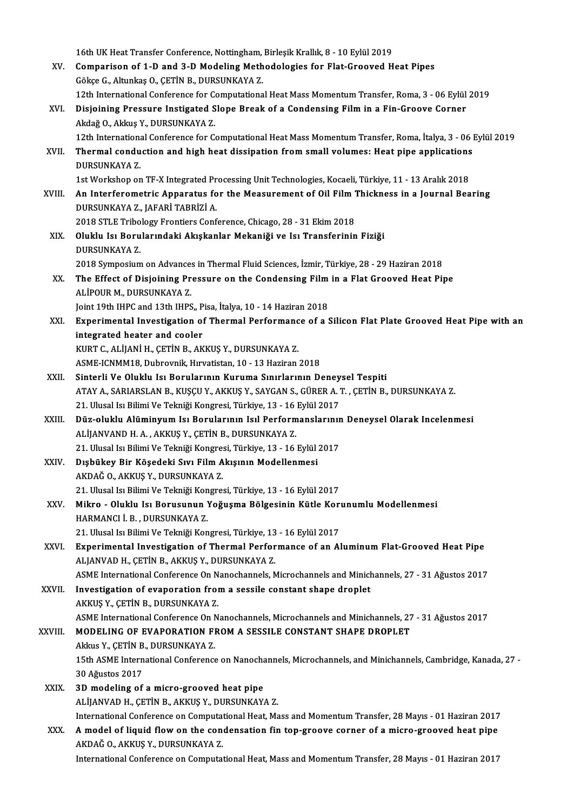16th UK Heat Transfer Conference, Nottingham, Birleşik Krallık, 8 - 10 Eylül 2019<br>Companison of 1 D and 3 D Modeling Methodelegies far Elet Greeved H

- 16th UK Heat Transfer Conference, Nottingham, Birleşik Krallık, 8 10 Eylül 2019<br>XV. Comparison of 1-D and 3-D Modeling Methodologies for Flat-Grooved Heat Pipes 16th UK Heat Transfer Conference, Nottingham,<br>Comparison of 1-D and 3-D Modeling Meth<br>Gökçe G., Altunkaş O., ÇETİN B., DURSUNKAYA Z. Comparison of 1-D and 3-D Modeling Methodologies for Flat-Grooved Heat Pipes<br>Gökçe G., Altunkaş O., ÇETİN B., DURSUNKAYA Z.<br>12th International Conference for Computational Heat Mass Momentum Transfer, Roma, 3 - 06 Eylül 20 Gökçe G., Altunkaş O., ÇETİN B., DURSUNKAYA Z.<br>12th International Conference for Computational Heat Mass Momentum Transfer, Roma, 3 - 06 Eylül<br>XVI. Disjoining Pressure Instigated Slope Break of a Condensing Film in a F
- 12th International Conference for Constructional Conference for Constructional Constructional Constructional Constructional Constructional Constructional Constructional Constructional Constructional Constructional Construc Disjoining Pressure Instigated Slope Break of a Condensing Film in a Fin-Groove Corner<br>Akdağ O., Akkuş Y., DURSUNKAYA Z.<br>12th International Conference for Computational Heat Mass Momentum Transfer, Roma, İtalya, 3 - 06 Eyl
	- 12th Internation<br>Thermal condu<br>DURSUNKAYA Z.<br>1st Werksbon on
- XVII. Thermal conduction and high heat dissipation from small volumes: Heat pipe applications<br>DURSUNKAYA Z. Thermal conduction and high heat dissipation from small volumes: Heat pipe applications<br>DURSUNKAYA Z.<br>1st Workshop on TF-X Integrated Processing Unit Technologies, Kocaeli, Türkiye, 11 - 13 Aralık 2018<br>An Interferemetris A
	-
- DURSUNKAYA Z.<br>1st Workshop on TF-X Integrated Processing Unit Technologies, Kocaeli, Türkiye, 11 13 Aralık 2018<br>2 XVIII. An Interferometric Apparatus for the Measurement of Oil Film Thickness in a Journal Bearing<br>2 DURSU 1st Workshop on TF-X Integrated Pr<br>**An Interferometric Apparatus fo<br>DURSUNKAYA Z., JAFARİ TABRİZİ A.**<br>2019 STI E Tribologu Epontiors Conf An Interferometric Apparatus for the Measurement of Oil Film 1<br>DURSUNKAYA Z., JAFARİ TABRİZİ A.<br>2018 STLE Tribology Frontiers Conference, Chicago, 28 - 31 Ekim 2018<br>Oluklu Jay Perularındaki Akıskanlar Makaniği ve Jay Trans

DURSUNKAYA Z., JAFARİ TABRİZİ A.<br>2018 STLE Tribology Frontiers Conference, Chicago, 28 - 31 Ekim 2018<br>XIX. Oluklu Isı Borularındaki Akışkanlar Mekaniği ve Isı Transferinin Fiziği<br>DURSUNKAYA Z 2018 STLE Tribo<br>Oluklu Isı Boru<br>DURSUNKAYA Z.<br>2018 Sumposium 2018 SymposiumonAdvances inThermalFluid Sciences, İzmir,Türkiye,28 -29Haziran2018

- DURSUNKAYA Z.<br>2018 Symposium on Advances in Thermal Fluid Sciences, İzmir, Türkiye, 28 29 Haziran 2018<br>XX. The Effect of Disjoining Pressure on the Condensing Film in a Flat Grooved Heat Pipe 2018 Symposium on Advances<br>The Effect of Disjoining Pr<br>ALİPOUR M., DURSUNKAYA Z.<br>Jaint 10th JUPC and 12th JUPS The Effect of Disjoining Pressure on the Condensing Film<br>ALİPOUR M., DURSUNKAYA Z.<br>Joint 19th IHPC and 13th IHPS,, Pisa, İtalya, 10 - 14 Haziran 2018<br>Eunonimental Investisation of Thermal Berformanee of a 1
- ALİPOUR M., DURSUNKAYA Z.<br>Joint 19th IHPC and 13th IHPS,, Pisa, İtalya, 10 14 Haziran 2018<br>XXI. Experimental Investigation of Thermal Performance of a Silicon Flat Plate Grooved Heat Pipe with an<br>integrated bester an Joint 19th IHPC and 13th IHPS,, P<br>Experimental Investigation of<br>integrated heater and cooler<br>FUPT C ALUANU L CETIN P AF Experimental Investigation of Thermal Performanc<br>integrated heater and cooler<br>KURT C., ALİJANİ H., ÇETİN B., AKKUŞ Y., DURSUNKAYA Z.<br>ASME ICNMM19. Duhrovnik Huvatistan 10, 13 Haziran

integrated heater and cooler<br>KURT C., ALIJANI H., ÇETİN B., AKKUŞ Y., DURSUNKAYA Z.<br>ASME-ICNMM18, Dubrovnik, Hırvatistan, 10 - 13 Haziran 2018

- XXII. Sinterli Ve Oluklu Isı Borularının Kuruma Sınırlarının Deneysel Tespiti ATAYA.,SARIARSLANB.,KUŞÇUY.,AKKUŞY.,SAYGANS.,GÜRERA.T. ,ÇETİNB.,DURSUNKAYAZ. Sinterli Ve Oluklu Isı Borularının Kuruma Sınırlarının Deney<br>ATAY A., SARIARSLAN B., KUŞÇU Y., AKKUŞ Y., SAYGAN S., GÜRER A.<br>21. Ulusal Isı Bilimi Ve Tekniği Kongresi, Türkiye, 13 - 16 Eylül 2017<br>Düz oluklu Alüminyum Isı B
- XXIII. Düz-oluklu Alüminyum Isı Borularının Isıl Performanslarının Deneysel Olarak Incelenmesi<br>ALİJANVAND H. A., AKKUŞ Y., ÇETİN B., DURSUNKAYA Z. 21. Ulusal Isı Bilimi Ve Tekniği Kongresi, Türkiye, 13 - 16<br>Düz-oluklu Alüminyum Isı Borularının Isıl Perform<br>ALİJANVAND H. A. , AKKUŞ Y., ÇETİN B., DURSUNKAYA Z.<br>21. Ulusal Isı Bilimi Ve Telmiği Kongresi, Türkiye, 12., 16 Düz-oluklu Alüminyum Isı Borularının Isıl Performanslarınır<br>ALİJANVAND H. A. , AKKUŞ Y., ÇETİN B., DURSUNKAYA Z.<br>21. Ulusal Isı Bilimi Ve Tekniği Kongresi, Türkiye, 13 - 16 Eylül 2017<br>Dışbükov Bir Kösedeki Sun Eilm Akısını
- XXIV. Dışbükey Bir Köşedeki Sıvı Film Akışının Modellenmesi<br>AKDAĞ O., AKKUS Y., DURSUNKAYA Z. 21. Ulusal Isı Bilimi Ve Tekniği Kongres<br>Dışbükey Bir Köşedeki Sıvı Film A<br>AKDAĞ O., AKKUŞ Y., DURSUNKAYA Z.<br>21. Ulusal Isı Bilimi Ve Telmiği Kongres Dışbükey Bir Köşedeki Sıvı Film Akışının Modellenmesi<br>AKDAĞ O., AKKUŞ Y., DURSUNKAYA Z.<br>21. Ulusal Isı Bilimi Ve Tekniği Kongresi, Türkiye, 13 - 16 Eylül 2017<br>Mikro - Oluklu Jo. Borugunun Veğusma Bölgesinin Kütle Kor
- AKDAĞ O., AKKUŞ Y., DURSUNKAYA Z.<br>21. Ulusal Isı Bilimi Ve Tekniği Kongresi, Türkiye, 13 16 Eylül 2017<br>XXV. Mikro Oluklu Isı Borusunun Yoğuşma Bölgesinin Kütle Korunumlu Modellenmesi 21. Ulusal Isı Bilimi Ve Tekniği Kon<br>Mikro - Oluklu Isı Borusunun !<br>HARMANCI İ. B. , DURSUNKAYA Z.<br>21. Ulusal Isı Bilimi Ve Talmiği Kon Mikro - Oluklu Isı Borusunun Yoğuşma Bölgesinin Kütle Kor<br>HARMANCI İ. B. , DURSUNKAYA Z.<br>21. Ulusal Isı Bilimi Ve Tekniği Kongresi, Türkiye, 13 - 16 Eylül 2017<br>Eunonimental Investisation of Thermal Berformanse of an Al
	- 21. Ulusal Isı Bilimi Ve Tekniği Kongresi, Türkiye, 13 16 Eylül 2017
- HARMANCI İ. B. , DURSUNKAYA Z.<br>21. Ulusal Isı Bilimi Ve Tekniği Kongresi, Türkiye, 13 16 Eylül 2017<br>XXVI. Experimental Investigation of Thermal Performance of an Aluminum Flat-Grooved Heat Pipe<br>ALJANVAD H., ÇETİN B., AKK
- ASME International Conference On Nanochannels, Microchannels and Minichannels, 27 31 Ağustos 2017 ALJANVAD H., ÇETİN B., AKKUŞ Y., DURSUNKAYA Z.<br>ASME International Conference On Nanochannels, Microchannels and Minich<br>XXVII. Investigation of evaporation from a sessile constant shape droplet<br>AVVIIS V. CETİN B. DUBSUNYAVA ASME International Conference On N<br>Investigation of evaporation from<br>AKKUŞ Y., ÇETİN B., DURSUNKAYA Z.<br>ASME International Conference On N Investigation of evaporation from a sessile constant shape droplet<br>AKKUŞ Y., ÇETİN B., DURSUNKAYA Z.<br>ASME International Conference On Nanochannels, Microchannels and Minichannels, 27 - 31 Ağustos 2017<br>MODELING OF EVAPORATI

AKKUŞ Y., ÇETİN B., DURSUNKAYA Z.<br>2. ASME International Conference On Nanochannels, Microchannels and Minichannels, 2<br>2. XXVIII. MODELING OF EVAPORATION FROM A SESSILE CONSTANT SHAPE DROPLET

ASME International Conference On N<br>**MODELING OF EVAPORATION FI**<br>Akkus Y., ÇETİN B., DURSUNKAYA Z.<br>15th ASME International Conference Akkus Y., CETİN B., DURSUNKAYA Z.

15th ASME International Conference on Nanochannels, Microchannels, and Minichannels, Cambridge, Kanada, 27 -<br>30 Ağustos 2017

- XXIX. 3D modeling of amicro-grooved heat pipe ALİJANVAD H., ÇETİN B., AKKUŞ Y., DURSUNKAYA Z. 3D modeling of a micro-grooved heat pipe<br>ALİJANVAD H., ÇETİN B., AKKUŞ Y., DURSUNKAYA Z.<br>International Conference on Computational Heat, Mass and Momentum Transfer, 28 Mayıs - 01 Haziran 2017<br>A model of liquid flow on the ALIJANVAD H., ÇETİN B., AKKUŞ Y., DURSUNKAYA Z.<br>International Conference on Computational Heat, Mass and Momentum Transfer, 28 Mayıs - 01 Haziran 2017<br>XXX. A model of liquid flow on the condensation fin top-groove corner o
- International Conference on Computat<br>A model of liquid flow on the con<br>AKDAĞ O., AKKUŞ Y., DURSUNKAYA Z.<br>International Conference on Computat A model of liquid flow on the condensation fin top-groove corner of a micro-grooved heat pipe<br>AKDAĞ O., AKKUŞ Y., DURSUNKAYA Z.<br>International Conference on Computational Heat, Mass and Momentum Transfer, 28 Mayıs - 01 Hazi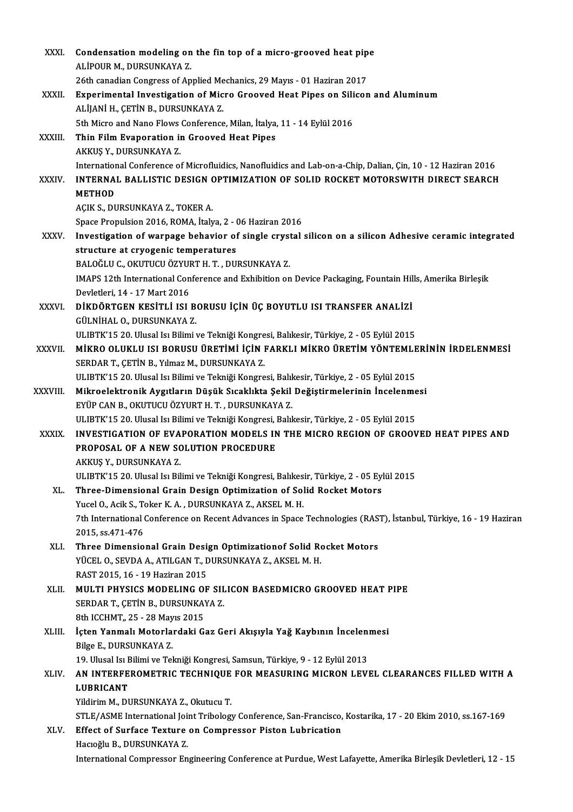| XXXI.        | Condensation modeling on the fin top of a micro-grooved heat pipe                                                                                                              |
|--------------|--------------------------------------------------------------------------------------------------------------------------------------------------------------------------------|
|              | ALİPOUR M., DURSUNKAYA Z.                                                                                                                                                      |
|              | 26th canadian Congress of Applied Mechanics, 29 Mayıs - 01 Haziran 2017                                                                                                        |
| XXXII.       | Experimental Investigation of Micro Grooved Heat Pipes on Silicon and Aluminum                                                                                                 |
|              | ALIJANI H., ÇETIN B., DURSUNKAYA Z.                                                                                                                                            |
|              | 5th Micro and Nano Flows Conference, Milan, İtalya, 11 - 14 Eylül 2016                                                                                                         |
| XXXIII.      | Thin Film Evaporation in Grooved Heat Pipes                                                                                                                                    |
|              | AKKUŞ Y., DURSUNKAYA Z.                                                                                                                                                        |
|              | International Conference of Microfluidics, Nanofluidics and Lab-on-a-Chip, Dalian, Çin, 10 - 12 Haziran 2016                                                                   |
| <b>XXXIV</b> | INTERNAL BALLISTIC DESIGN OPTIMIZATION OF SOLID ROCKET MOTORSWITH DIRECT SEARCH                                                                                                |
|              | <b>METHOD</b>                                                                                                                                                                  |
|              | AÇIK S., DURSUNKAYA Z., TOKER A.                                                                                                                                               |
|              | Space Propulsion 2016, ROMA, İtalya, 2 - 06 Haziran 2016                                                                                                                       |
| <b>XXXV</b>  | Investigation of warpage behavior of single crystal silicon on a silicon Adhesive ceramic integrated                                                                           |
|              | structure at cryogenic temperatures                                                                                                                                            |
|              | BALOĞLU C., OKUTUCU ÖZYURT H. T., DURSUNKAYA Z.                                                                                                                                |
|              | IMAPS 12th International Conference and Exhibition on Device Packaging, Fountain Hills, Amerika Birleşik                                                                       |
|              | Devletleri, 14 - 17 Mart 2016                                                                                                                                                  |
| XXXVI.       | DİKDÖRTGEN KESİTLİ ISI BORUSU İÇİN ÜÇ BOYUTLU ISI TRANSFER ANALİZİ                                                                                                             |
|              | GÜLNİHAL O., DURSUNKAYA Z.                                                                                                                                                     |
|              | ULIBTK'15 20. Ulusal Isı Bilimi ve Tekniği Kongresi, Balıkesir, Türkiye, 2 - 05 Eylül 2015                                                                                     |
| XXXVII.      | MİKRO OLUKLU ISI BORUSU ÜRETİMİ İÇİN FARKLI MİKRO ÜRETİM YÖNTEMLERİNİN İRDELENMESİ                                                                                             |
|              | SERDAR T., ÇETİN B., Yılmaz M., DURSUNKAYA Z.                                                                                                                                  |
|              | ULIBTK'15 20. Ulusal Isı Bilimi ve Tekniği Kongresi, Balıkesir, Türkiye, 2 - 05 Eylül 2015                                                                                     |
| XXXVIII.     | Mikroelektronik Aygıtların Düşük Sıcaklıkta Şekil Değiştirmelerinin İncelenmesi                                                                                                |
|              | EYÜP CAN B., OKUTUCU ÖZYURT H. T., DURSUNKAYA Z.                                                                                                                               |
|              | ULIBTK'15 20. Ulusal Isı Bilimi ve Tekniği Kongresi, Balıkesir, Türkiye, 2 - 05 Eylül 2015                                                                                     |
| <b>XXXIX</b> | INVESTIGATION OF EVAPORATION MODELS IN THE MICRO REGION OF GROOVED HEAT PIPES AND                                                                                              |
|              | PROPOSAL OF A NEW SOLUTION PROCEDURE                                                                                                                                           |
|              | AKKUŞ Y., DURSUNKAYA Z                                                                                                                                                         |
|              | ULIBTK'15 20. Ulusal Isı Bilimi ve Tekniği Kongresi, Balıkesir, Türkiye, 2 - 05 Eylül 2015                                                                                     |
| XL.          | Three-Dimensional Grain Design Optimization of Solid Rocket Motors                                                                                                             |
|              | Yucel O., Acik S., Toker K. A., DURSUNKAYA Z., AKSEL M. H.<br>7th International Conference on Recent Advances in Space Technologies (RAST), İstanbul, Türkiye, 16 - 19 Haziran |
|              |                                                                                                                                                                                |
| XLI.         | 2015, ss 471-476<br>Three Dimensional Grain Design Optimizationof Solid Rocket Motors                                                                                          |
|              | YÜCEL O., SEVDA A., ATILGAN T., DURSUNKAYA Z., AKSEL M. H.                                                                                                                     |
|              | RAST 2015, 16 - 19 Haziran 2015                                                                                                                                                |
| XLII.        | MULTI PHYSICS MODELING OF SILICON BASEDMICRO GROOVED HEAT PIPE                                                                                                                 |
|              | SERDAR T., ÇETİN B., DURSUNKAYA Z.                                                                                                                                             |
|              | 8th ICCHMT,, 25 - 28 Mayıs 2015                                                                                                                                                |
| XLIII.       | İçten Yanmalı Motorlardaki Gaz Geri Akışıyla Yağ Kaybının İncelenmesi                                                                                                          |
|              | Bilge E, DURSUNKAYA Z                                                                                                                                                          |
|              | 19. Ulusal Isı Bilimi ve Tekniği Kongresi, Samsun, Türkiye, 9 - 12 Eylül 2013                                                                                                  |
| XLIV.        | AN INTERFEROMETRIC TECHNIQUE FOR MEASURING MICRON LEVEL CLEARANCES FILLED WITH A                                                                                               |
|              | <b>LUBRICANT</b>                                                                                                                                                               |
|              | Yildirim M., DURSUNKAYA Z., Okutucu T.                                                                                                                                         |
|              | STLE/ASME International Joint Tribology Conference, San-Francisco, Kostarika, 17 - 20 Ekim 2010, ss.167-169                                                                    |
| XLV.         | Effect of Surface Texture on Compressor Piston Lubrication                                                                                                                     |
|              | Hacıoğlu B., DURSUNKAYA Z.                                                                                                                                                     |
|              | International Compressor Engineering Conference at Purdue, West Lafayette, Amerika Birleşik Devletleri, 12 - 15                                                                |
|              |                                                                                                                                                                                |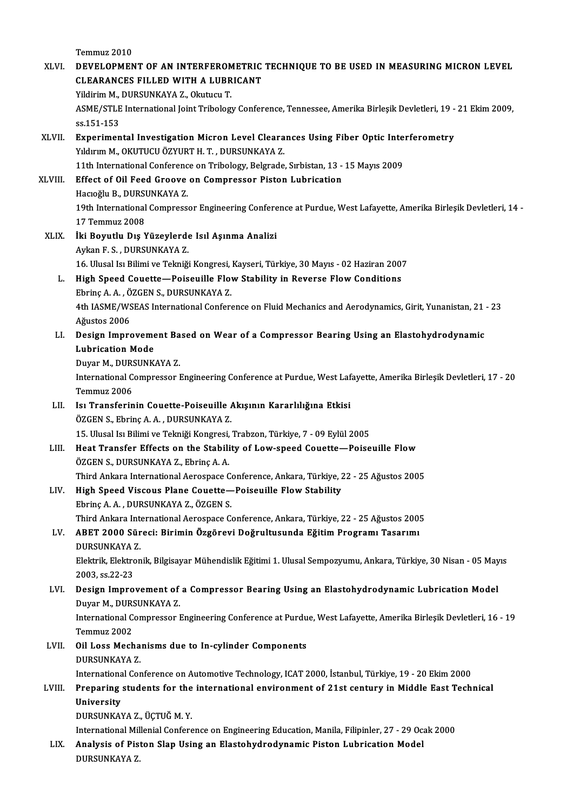Temmuz 2010 Temmuz 2010<br>XLVI. DEVELOPMENT OF AN INTERFEROMETRIC TECHNIQUE TO BE USED IN MEASURING MICRON LEVEL Temmuz 2010<br>DEVELOPMENT OF AN INTERFEROMETRIC<br>CLEARANCES FILLED WITH A LUBRICANT<br>Vildinim M. DUBSUNKAVA 7, Okutugu T DEVELOPMENT OF AN INTERFEROM<br>CLEARANCES FILLED WITH A LUBR<br>Yildirim M., DURSUNKAYA Z., Okutucu T.<br>ASME/STI E International Isint Tribology CLEARANCES FILLED WITH A LUBRICANT<br>Yildirim M., DURSUNKAYA Z., Okutucu T.<br>ASME/STLE International Joint Tribology Conference, Tennessee, Amerika Birleşik Devletleri, 19 - 21 Ekim 2009,<br>99.151.152 Yildirim M.,<br>ASME/STLE<br>ss.151-153<br>Experimen ASME/STLE International Joint Tribology Conference, Tennessee, Amerika Birleşik Devletleri, 19 -<br>ss.151-153<br>XLVII. Experimental Investigation Micron Level Clearances Using Fiber Optic Interferometry<br>Veloum M. OVUTUCU ÖZVUP ss.151-153<br><mark>Experimental Investigation Micron Level Cleara</mark><br>Yıldırım M., OKUTUCU ÖZYURT H. T. , DURSUNKAYA Z.<br>11th International Conference en Tribolegy, Belgrade Experimental Investigation Micron Level Clearances Using Fiber Optic Inte<br>11th International Conference on Tribology, Belgrade, Sırbistan, 13 - 15 Mayıs 2009<br>Effect of Oil Ecod Creeve on Compressor Bistan, Lubrisation Yıldırım M., OKUTUCU ÖZYURT H. T. , DURSUNKAYA Z.<br>11th International Conference on Tribology, Belgrade, Sırbistan, 13 -<br>XLVIII. Effect of Oil Feed Groove on Compressor Piston Lubrication<br>Hesta<sup>r</sup>iu B. DURSUNKAYA Z. 11th International Conferenc<br>Effect of Oil Feed Groove<br>Hacıoğlu B., DURSUNKAYA Z.<br>10th International Compress 19th International Compressor Engineering Conference at Purdue, West Lafayette, Amerika Birleşik Devletleri, 14 -<br>17 Temmuz 2008 Hacioğlu B., DURSUNKAYA Z. 19th International Compressor Engineering Confere<br>17 Temmuz 2008<br>XLIX. İki Boyutlu Dış Yüzeylerde Isıl Aşınma Analizi 17 Temmuz 2008<br>İki Boyutlu Dış Yüzeylerde<br>Aykan F. S. , DURSUNKAYA Z.<br>16 Hlusel ka Bilimi ve Telmiği 16. Ulusal Isı Bilimi ve Tekniği Kongresi, Kayseri, Türkiye, 30 Mayıs - 02 Haziran 2007<br>16. Ulusal Isı Bilimi ve Tekniği Kongresi, Kayseri, Türkiye, 30 Mayıs - 02 Haziran 2007 Aykan F. S. , DURSUNKAYA Z.<br>16. Ulusal Isı Bilimi ve Tekniği Kongresi, Kayseri, Türkiye, 30 Mayıs - 02 Haziran 200.<br>1. High Speed Couette—Poiseuille Flow Stability in Reverse Flow Conditions 16. Ulusal Isı Bilimi ve Tekniği Kongresi,<br>High Speed Couette—Poiseuille Flov<br>Ebrinç A. A. , ÖZGEN S., DURSUNKAYA Z.<br>4th JASME (WSEAS International Conform High Speed Couette—Poiseuille Flow Stability in Reverse Flow Conditions<br>Ebrinç A. A. , ÖZGEN S., DURSUNKAYA Z.<br>4th IASME/WSEAS International Conference on Fluid Mechanics and Aerodynamics, Girit, Yunanistan, 21 - 23<br>Ažuste Ebrinç A. A. , Ö<br>4th IASME/WS<br>Ağustos 2006<br>Desisn Impre 4th IASME/WSEAS International Conference on Fluid Mechanics and Aerodynamics, Girit, Yunanistan, 21<br>Ağustos 2006<br>LI. Design Improvement Based on Wear of a Compressor Bearing Using an Elastohydrodynamic<br>Lubrisation Mode Ağustos 2006<br>LI. Design Improvement Based on Wear of a Compressor Bearing Using an Elastohydrodynamic<br>Lubrication Mode Duyar M., DURSUNKAYA Z. Lubrication Mode<br>Duyar M., DURSUNKAYA Z.<br>International Compressor Engineering Conference at Purdue, West Lafayette, Amerika Birleşik Devletleri, 17 - 20 Duyar M., DURS<br>International C<br>Temmuz 2006<br>Is: Transforin International Compressor Engineering Conference at Purdue, West Laf<br>Temmuz 2006<br>LII. Isı Transferinin Couette-Poiseuille Akışının Kararlılığına Etkisi<br>ÖZCEN S. Ehrine A.A. DURSUNKAYA Z Temmuz 2006<br>Isı Transferinin Couette-Poiseuille<br>ÖZGEN S., Ebrinç A. A. , DURSUNKAYA Z.<br>15. Ulucel Isı Bilimi ve Telmiği Kongresi ÖZGEN S., Ebrinç A. A. , DURSUNKAYA Z.<br>15. Ulusal Isı Bilimi ve Tekniği Kongresi, Trabzon, Türkiye, 7 - 09 Eylül 2005 ÖZGEN S., Ebrinç A. A. , DURSUNKAYA Z.<br>15. Ulusal Isı Bilimi ve Tekniği Kongresi, Trabzon, Türkiye, 7 - 09 Eylül 2005<br>LIII. Heat Transfer Effects on the Stability of Low-speed Couette—Poiseuille Flow<br>ÖZCEN S. DUBSUNKAY 15. Ulusal Isı Bilimi ve Tekniği Kongresi,<br>Heat Transfer Effects on the Stabili<br>ÖZGEN S., DURSUNKAYA Z., Ebrinç A. A.<br>Third Ankara International Aerospace C Heat Transfer Effects on the Stability of Low-speed Couette—Poiseuille Flow<br>ÖZGEN S., DURSUNKAYA Z., Ebrinç A. A.<br>Third Ankara International Aerospace Conference, Ankara, Türkiye, 22 - 25 Ağustos 2005<br>High Speed Viscous Pl ÖZGEN S., DURSUNKAYA Z., Ebrinç A. A.<br>Third Ankara International Aerospace Conference, Ankara, Türkiye, 2<br>LIV. High Speed Viscous Plane Couette—Poiseuille Flow Stability<br>Ehring A. A., DURSUNKAYA Z., ÖZGEN S. Third Ankara International Aerospace C<br>High Speed Viscous Plane Couette—<br>Ebrinç A. A. , DURSUNKAYA Z., ÖZGEN S.<br>Third Ankara International Aerospace C Ebrinç A. A. , DURSUNKAYA Z., ÖZGEN S.<br>Third Ankara International Aerospace Conference, Ankara, Türkiye, 22 - 25 Ağustos 2005 Ebrinç A. A. , DURSUNKAYA Z., ÖZGEN S.<br>Third Ankara International Aerospace Conference, Ankara, Türkiye, 22 - 25 Ağustos 200!<br>LV. ABET 2000 Süreci: Birimin Özgörevi Doğrultusunda Eğitim Programı Tasarımı<br>DURSUNKAYA 7 Third Ankara Int<br>ABET 2000 Sür<br>DURSUNKAYA Z.<br>Elektrik Elektron ABET 2000 Süreci: Birimin Özgörevi Doğrultusunda Eğitim Programı Tasarımı<br>DURSUNKAYA Z.<br>Elektrik, Elektronik, Bilgisayar Mühendislik Eğitimi 1. Ulusal Sempozyumu, Ankara, Türkiye, 30 Nisan - 05 Mayıs<br>2003-cc 22-22 DURSUNKAYA<br>Elektrik, Elektro<br>2003, ss.22-23<br>Dosian Jmnro Elektrik, Elektronik, Bilgisayar Mühendislik Eğitimi 1. Ulusal Sempozyumu, Ankara, Türkiye, 30 Nisan - 05 May<br>2003, ss.22-23<br>LVI. Design Improvement of a Compressor Bearing Using an Elastohydrodynamic Lubrication Model 2003, ss.22-23<br>Design Improvement of<br>Duyar M., DURSUNKAYA Z.<br>International Compressor I Design Improvement of a Compressor Bearing Using an Elastohydrodynamic Lubrication Model<br>Duyar M., DURSUNKAYA Z.<br>International Compressor Engineering Conference at Purdue, West Lafayette, Amerika Birleşik Devletleri, 16 - Duyar M., DURS<br>International C<br>Temmuz 2002<br>Oil Loss Mosh International Compressor Engineering Conference at Purdu<br>Temmuz 2002<br>LVII. Oil Loss Mechanisms due to In-cylinder Components<br>DURSINKAVA 7 Temmuz 2002<br>Oil Loss Mecha<br>DURSUNKAYA Z.<br>International Cor Oil Loss Mechanisms due to In-cylinder Components<br>DURSUNKAYA Z.<br>International Conference on Automotive Technology, ICAT 2000, İstanbul, Türkiye, 19 - 20 Ekim 2000<br>Prenaring students for the international envirorment of 31s DURSUNKAYA Z.<br>International Conference on Automotive Technology, ICAT 2000, İstanbul, Türkiye, 19 - 20 Ekim 2000<br>LVIII. Preparing students for the international environment of 21st century in Middle East Technical Internationa<br>Preparing<br>University<br>DURSUNKAN Preparing students for the<br>University<br>DURSUNKAYA Z., ÜÇTUĞ M. Y.<br>International Millenial Confere University<br>DURSUNKAYA Z., ÜÇTUĞ M. Y.<br>International Millenial Conference on Engineering Education, Manila, Filipinler, 27 - 29 Ocak 2000 DURSUNKAYA Z., ÜÇTUĞ M. Y.<br>International Millenial Conference on Engineering Education, Manila, Filipinler, 27 - 29 Oca<br>LIX. Analysis of Piston Slap Using an Elastohydrodynamic Piston Lubrication Model International Mil<br><mark>Analysis of Pis</mark><br>DURSUNKAYA Z.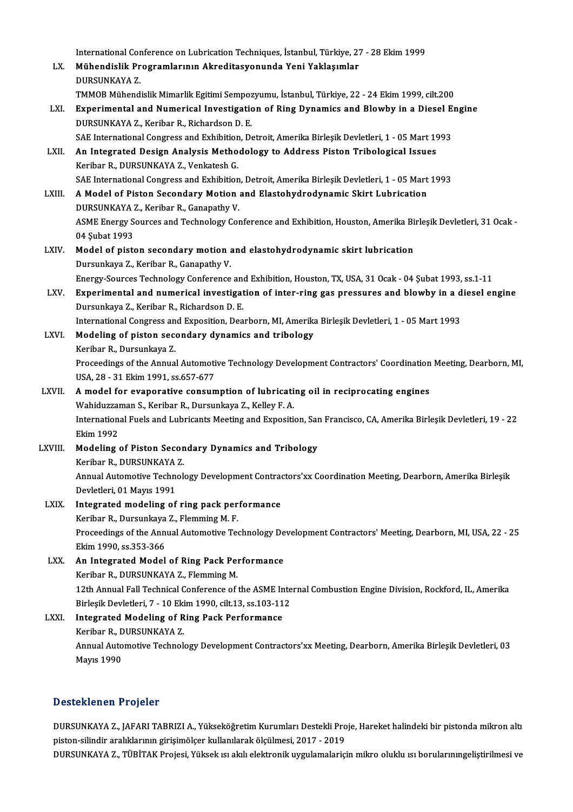|         | International Conference on Lubrication Techniques, İstanbul, Türkiye, 27 - 28 Ekim 1999                                                           |
|---------|----------------------------------------------------------------------------------------------------------------------------------------------------|
| LX.     | Mühendislik Programlarının Akreditasyonunda Yeni Yaklaşımlar<br>DURSUNKAYA Z.                                                                      |
|         | TMMOB Mühendislik Mimarlik Egitimi Sempozyumu, İstanbul, Türkiye, 22 - 24 Ekim 1999, cilt.200                                                      |
| LXI.    | Experimental and Numerical Investigation of Ring Dynamics and Blowby in a Diesel Engine<br>DURSUNKAYA Z., Keribar R., Richardson D. E.             |
|         | SAE International Congress and Exhibition, Detroit, Amerika Birleşik Devletleri, 1 - 05 Mart 1993                                                  |
| LXII.   | An Integrated Design Analysis Methodology to Address Piston Tribological Issues<br>Keribar R., DURSUNKAYA Z., Venkatesh G.                         |
|         | SAE International Congress and Exhibition, Detroit, Amerika Birleşik Devletleri, 1 - 05 Mart 1993                                                  |
| LXIII.  | A Model of Piston Secondary Motion and Elastohydrodynamic Skirt Lubrication<br>DURSUNKAYA Z., Keribar R., Ganapathy V.                             |
|         | ASME Energy Sources and Technology Conference and Exhibition, Houston, Amerika Birleşik Devletleri, 31 Ocak -<br>04 Şubat 1993                     |
| LXIV.   | Model of piston secondary motion and elastohydrodynamic skirt lubrication                                                                          |
|         | Dursunkaya Z., Keribar R., Ganapathy V.                                                                                                            |
|         | Energy-Sources Technology Conference and Exhibition, Houston, TX, USA, 31 Ocak - 04 Şubat 1993, ss.1-11                                            |
| LXV.    | Experimental and numerical investigation of inter-ring gas pressures and blowby in a diesel engine                                                 |
|         | Dursunkaya Z., Keribar R., Richardson D. E.                                                                                                        |
|         | International Congress and Exposition, Dearborn, MI, Amerika Birleşik Devletleri, 1 - 05 Mart 1993                                                 |
| LXVI.   | Modeling of piston secondary dynamics and tribology<br>Keribar R., Dursunkaya Z.                                                                   |
|         | Proceedings of the Annual Automotive Technology Development Contractors' Coordination Meeting, Dearborn, MI,<br>USA, 28 - 31 Ekim 1991, ss 657-677 |
| LXVII.  | A model for evaporative consumption of lubricating oil in reciprocating engines                                                                    |
|         | Wahiduzzaman S., Keribar R., Dursunkaya Z., Kelley F. A.                                                                                           |
|         | International Fuels and Lubricants Meeting and Exposition, San Francisco, CA, Amerika Birleşik Devletleri, 19 - 22<br><b>Ekim 1992</b>             |
| LXVIII. | Modeling of Piston Secondary Dynamics and Tribology                                                                                                |
|         | Keribar R., DURSUNKAYA Z.                                                                                                                          |
|         | Annual Automotive Technology Development Contractors'xx Coordination Meeting, Dearborn, Amerika Birleşik                                           |
|         | Devletleri, 01 Mayıs 1991                                                                                                                          |
| LXIX.   | Integrated modeling of ring pack performance                                                                                                       |
|         | Keribar R., Dursunkaya Z., Flemming M. F.                                                                                                          |
|         | Proceedings of the Annual Automotive Technology Development Contractors' Meeting, Dearborn, MI, USA, 22 - 25                                       |
|         | Ekim 1990, ss 353-366                                                                                                                              |
| LXX.    | An Integrated Model of Ring Pack Performance                                                                                                       |
|         | Keribar R., DURSUNKAYA Z., Flemming M.                                                                                                             |
|         | 12th Annual Fall Technical Conference of the ASME Internal Combustion Engine Division, Rockford, IL, Amerika                                       |
|         | Birleşik Devletleri, 7 - 10 Ekim 1990, cilt.13, ss.103-112                                                                                         |
| LXXI.   | <b>Integrated Modeling of Ring Pack Performance</b>                                                                                                |
|         | Keribar R., DURSUNKAYA Z.                                                                                                                          |
|         | Annual Automotive Technology Development Contractors'xx Meeting, Dearborn, Amerika Birleşik Devletleri, 03<br><b>Mayıs 1990</b>                    |

### Desteklenen Projeler

Desteklenen Projeler<br>DURSUNKAYA Z., JAFARI TABRIZI A., Yükseköğretim Kurumları Destekli Proje, Hareket halindeki bir pistonda mikron altı<br>Piston silindir aralıklarının girisimölese kullanılarak ölgülmesi, 2017, 2019 piston-silindir aralıklarının aralıklarının bestekli Pro<br>piston-silindir aralıklarının girişimölçer kullanılarak ölçülmesi, 2017 - 2019<br>DURSUNKAYA Z., TÜRİTAK Projeci, Yükselt ve alalı olaktronik uygulamalarısı DURSUNKAYA Z., JAFARI TABRIZI A., Yükseköğretim Kurumları Destekli Proje, Hareket halindeki bir pistonda mikron altı<br>piston-silindir aralıklarının girişimölçer kullanılarak ölçülmesi, 2017 - 2019<br>DURSUNKAYA Z., TÜBİTAK Pro